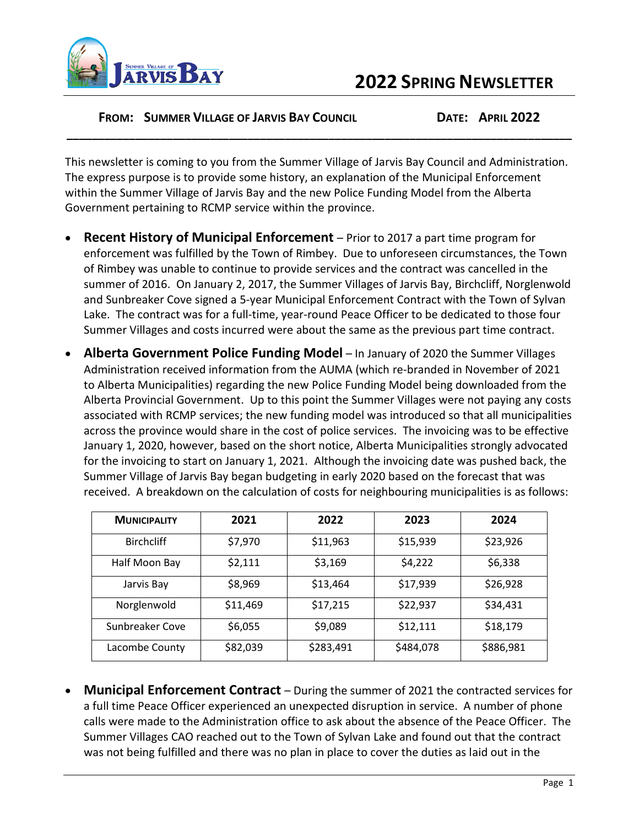

## **2022 SPRING NEWSLETTER**

## **FROM: SUMMER VILLAGE OF JARVIS BAY COUNCIL DATE: APRIL 2022**

This newsletter is coming to you from the Summer Village of Jarvis Bay Council and Administration. The express purpose is to provide some history, an explanation of the Municipal Enforcement within the Summer Village of Jarvis Bay and the new Police Funding Model from the Alberta Government pertaining to RCMP service within the province.

**\_\_\_\_\_\_\_\_\_\_\_\_\_\_\_\_\_\_\_\_\_\_\_\_\_\_\_\_\_\_\_\_\_\_\_\_\_\_\_\_\_\_\_\_\_\_\_\_\_\_\_\_\_\_\_\_\_\_\_\_\_\_\_\_\_\_\_\_\_\_\_\_\_\_\_\_\_\_\_\_\_**

- **Recent History of Municipal Enforcement** Prior to 2017 a part time program for enforcement was fulfilled by the Town of Rimbey. Due to unforeseen circumstances, the Town of Rimbey was unable to continue to provide services and the contract was cancelled in the summer of 2016. On January 2, 2017, the Summer Villages of Jarvis Bay, Birchcliff, Norglenwold and Sunbreaker Cove signed a 5-year Municipal Enforcement Contract with the Town of Sylvan Lake. The contract was for a full-time, year-round Peace Officer to be dedicated to those four Summer Villages and costs incurred were about the same as the previous part time contract.
- **Alberta Government Police Funding Model** In January of 2020 the Summer Villages Administration received information from the AUMA (which re-branded in November of 2021 to Alberta Municipalities) regarding the new Police Funding Model being downloaded from the Alberta Provincial Government. Up to this point the Summer Villages were not paying any costs associated with RCMP services; the new funding model was introduced so that all municipalities across the province would share in the cost of police services. The invoicing was to be effective January 1, 2020, however, based on the short notice, Alberta Municipalities strongly advocated for the invoicing to start on January 1, 2021. Although the invoicing date was pushed back, the Summer Village of Jarvis Bay began budgeting in early 2020 based on the forecast that was received. A breakdown on the calculation of costs for neighbouring municipalities is as follows:

| <b>MUNICIPALITY</b> | 2021     | 2022      | 2023      | 2024      |
|---------------------|----------|-----------|-----------|-----------|
| <b>Birchcliff</b>   | \$7,970  | \$11,963  | \$15,939  | \$23,926  |
| Half Moon Bay       | \$2,111  | \$3,169   | \$4,222   | \$6,338   |
| Jarvis Bay          | \$8,969  | \$13,464  | \$17,939  | \$26,928  |
| Norglenwold         | \$11,469 | \$17,215  | \$22,937  | \$34,431  |
| Sunbreaker Cove     | \$6,055  | \$9,089   | \$12,111  | \$18,179  |
| Lacombe County      | \$82,039 | \$283,491 | \$484,078 | \$886,981 |

• **Municipal Enforcement Contract** – During the summer of 2021 the contracted services for a full time Peace Officer experienced an unexpected disruption in service. A number of phone calls were made to the Administration office to ask about the absence of the Peace Officer. The Summer Villages CAO reached out to the Town of Sylvan Lake and found out that the contract was not being fulfilled and there was no plan in place to cover the duties as laid out in the